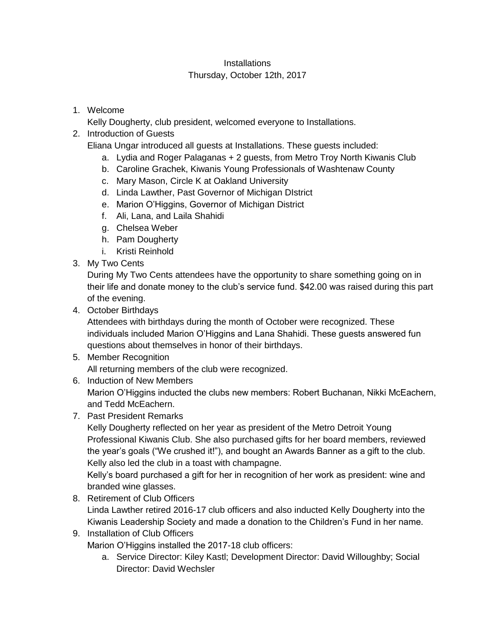## **Installations** Thursday, October 12th, 2017

1. Welcome

Kelly Dougherty, club president, welcomed everyone to Installations.

2. Introduction of Guests

Eliana Ungar introduced all guests at Installations. These guests included:

- a. Lydia and Roger Palaganas + 2 guests, from Metro Troy North Kiwanis Club
- b. Caroline Grachek, Kiwanis Young Professionals of Washtenaw County
- c. Mary Mason, Circle K at Oakland University
- d. Linda Lawther, Past Governor of Michigan DIstrict
- e. Marion O'Higgins, Governor of Michigan District
- f. Ali, Lana, and Laila Shahidi
- g. Chelsea Weber
- h. Pam Dougherty
- i. Kristi Reinhold
- 3. My Two Cents

During My Two Cents attendees have the opportunity to share something going on in their life and donate money to the club's service fund. \$42.00 was raised during this part of the evening.

4. October Birthdays

Attendees with birthdays during the month of October were recognized. These individuals included Marion O'Higgins and Lana Shahidi. These guests answered fun questions about themselves in honor of their birthdays.

5. Member Recognition

All returning members of the club were recognized.

- 6. Induction of New Members Marion O'Higgins inducted the clubs new members: Robert Buchanan, Nikki McEachern, and Tedd McEachern.
- 7. Past President Remarks

Kelly Dougherty reflected on her year as president of the Metro Detroit Young Professional Kiwanis Club. She also purchased gifts for her board members, reviewed the year's goals ("We crushed it!"), and bought an Awards Banner as a gift to the club. Kelly also led the club in a toast with champagne.

Kelly's board purchased a gift for her in recognition of her work as president: wine and branded wine glasses.

- 8. Retirement of Club Officers Linda Lawther retired 2016-17 club officers and also inducted Kelly Dougherty into the Kiwanis Leadership Society and made a donation to the Children's Fund in her name.
- 9. Installation of Club Officers

Marion O'Higgins installed the 2017-18 club officers:

a. Service Director: Kiley Kastl; Development Director: David Willoughby; Social Director: David Wechsler